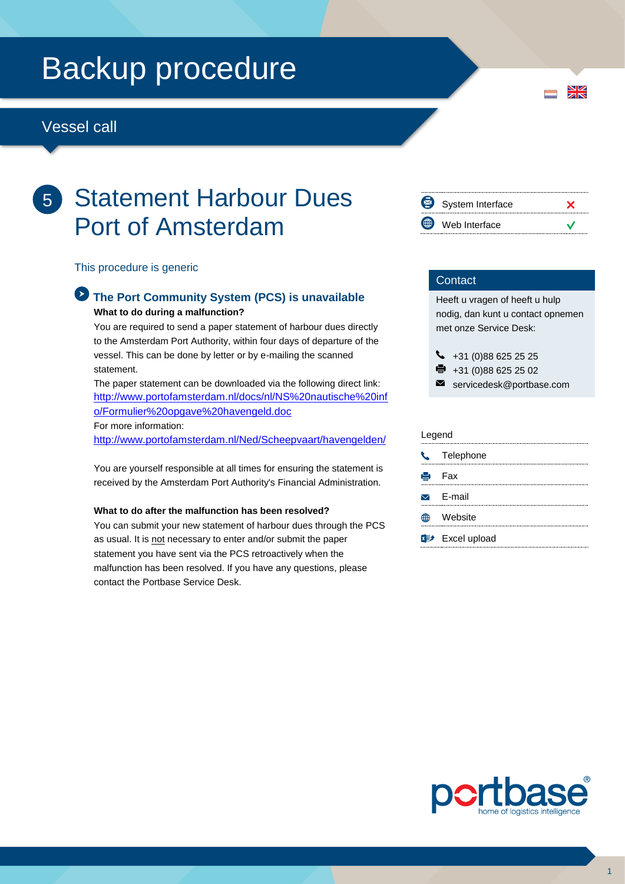# Backup procedure

### Vessel call

## 5 Statement Harbour Dues Port of Amsterdam

This procedure is generic

#### **The Port Community System (PCS) is unavailable What to do during a malfunction?**

You are required to send a paper statement of harbour dues directly to the Amsterdam Port Authority, within four days of departure of the vessel. This can be done by letter or by e-mailing the scanned statement.

The paper statement can be downloaded via the following direct link: [http://www.portofamsterdam.nl/docs/nl/NS%20nautische%20inf](http://www.portofamsterdam.nl/docs/nl/NS%20nautische%20info/Formulier%20opgave%20havengeld.doc) [o/Formulier%20opgave%20havengeld.doc](http://www.portofamsterdam.nl/docs/nl/NS%20nautische%20info/Formulier%20opgave%20havengeld.doc) For more information:

<http://www.portofamsterdam.nl/Ned/Scheepvaart/havengelden/>

You are yourself responsible at all times for ensuring the statement is received by the Amsterdam Port Authority's Financial Administration.

#### **What to do after the malfunction has been resolved?**

You can submit your new statement of harbour dues through the PCS as usual. It is not necessary to enter and/or submit the paper statement you have sent via the PCS retroactively when the malfunction has been resolved. If you have any questions, please contact the Portbase Service Desk.

| System Interface |  |
|------------------|--|
| Web Interface    |  |

#### **Contact**

Heeft u vragen of heeft u hulp nodig, dan kunt u contact opnemen met onze Service Desk:

 $\bigcup$  +31 (0)88 625 25 25

- $\bullet$  +31 (0)88 625 25 02
- $\blacksquare$ servicedesk@portbase.com

#### Legend

| C Telephone                         |
|-------------------------------------|
| e Fax                               |
| $\triangleright$ F-mail             |
| Website                             |
| <b>x</b> <sup>p+</sup> Excel upload |



 $\frac{N}{Z}$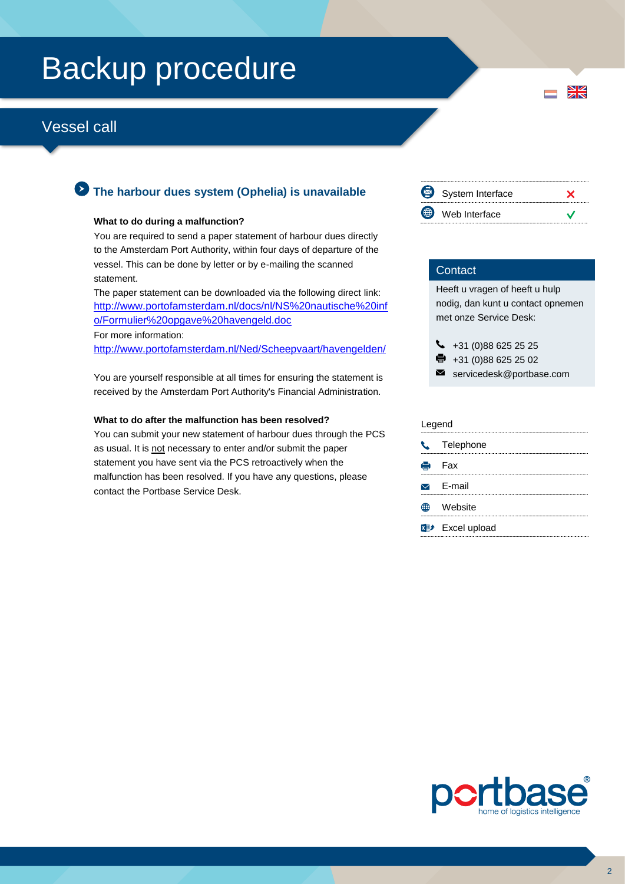# Backup procedure

## Vessel call

### **The harbour dues system (Ophelia) is unavailable**

#### **What to do during a malfunction?**

You are required to send a paper statement of harbour dues directly to the Amsterdam Port Authority, within four days of departure of the vessel. This can be done by letter or by e-mailing the scanned statement.

The paper statement can be downloaded via the following direct link: [http://www.portofamsterdam.nl/docs/nl/NS%20nautische%20inf](http://www.portofamsterdam.nl/docs/nl/NS%20nautische%20info/Formulier%20opgave%20havengeld.doc) [o/Formulier%20opgave%20havengeld.doc](http://www.portofamsterdam.nl/docs/nl/NS%20nautische%20info/Formulier%20opgave%20havengeld.doc) For more information:

<http://www.portofamsterdam.nl/Ned/Scheepvaart/havengelden/>

You are yourself responsible at all times for ensuring the statement is received by the Amsterdam Port Authority's Financial Administration.

#### **What to do after the malfunction has been resolved?**

You can submit your new statement of harbour dues through the PCS as usual. It is not necessary to enter and/or submit the paper statement you have sent via the PCS retroactively when the malfunction has been resolved. If you have any questions, please contact the Portbase Service Desk.

⊠ System Interface  $\boldsymbol{\mathsf{x}}$ Web Interface  $\checkmark$ 

 $\frac{N}{N}$ 

#### **Contact**

Heeft u vragen of heeft u hulp nodig, dan kunt u contact opnemen met onze Service Desk:

 $\begin{array}{r} \big\{\end{array}$  +31 (0)88 625 25 25 骨 +31 (0)88 625 25 02

servicedesk@portbase.com

| Legend        |                         |  |
|---------------|-------------------------|--|
| $\mathcal{L}$ | Telephone               |  |
|               | <b>侵</b> Fax            |  |
|               | $\triangleright$ E-mail |  |
|               | Website                 |  |
|               | <b>Excel upload</b>     |  |
|               |                         |  |